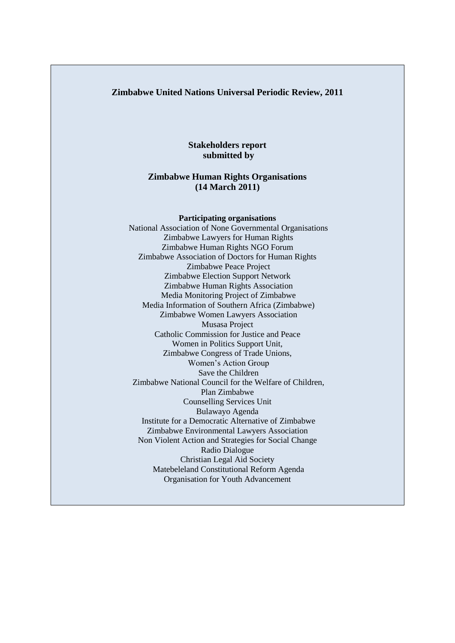#### **Zimbabwe United Nations Universal Periodic Review, 2011**

### **Stakeholders report submitted by**

#### **Zimbabwe Human Rights Organisations (14 March 2011)**

#### **Participating organisations**

National Association of None Governmental Organisations Zimbabwe Lawyers for Human Rights Zimbabwe Human Rights NGO Forum Zimbabwe Association of Doctors for Human Rights Zimbabwe Peace Project Zimbabwe Election Support Network Zimbabwe Human Rights Association Media Monitoring Project of Zimbabwe Media Information of Southern Africa (Zimbabwe) Zimbabwe Women Lawyers Association Musasa Project Catholic Commission for Justice and Peace Women in Politics Support Unit, Zimbabwe Congress of Trade Unions, Women"s Action Group Save the Children Zimbabwe National Council for the Welfare of Children, Plan Zimbabwe Counselling Services Unit Bulawayo Agenda Institute for a Democratic Alternative of Zimbabwe Zimbabwe Environmental Lawyers Association Non Violent Action and Strategies for Social Change Radio Dialogue Christian Legal Aid Society Matebeleland Constitutional Reform Agenda Organisation for Youth Advancement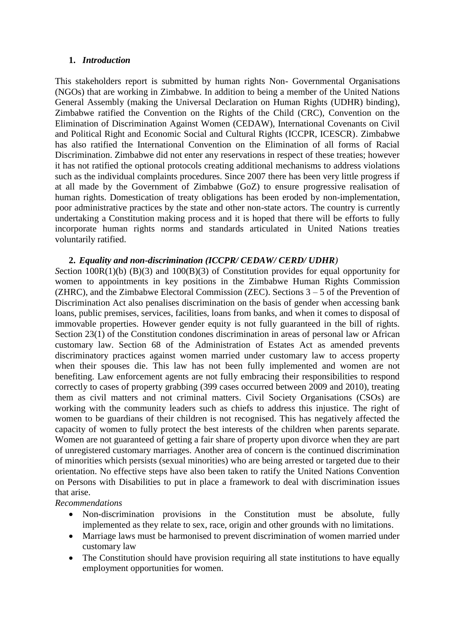#### **1.** *Introduction*

This stakeholders report is submitted by human rights Non- Governmental Organisations (NGOs) that are working in Zimbabwe. In addition to being a member of the United Nations General Assembly (making the Universal Declaration on Human Rights (UDHR) binding), Zimbabwe ratified the Convention on the Rights of the Child (CRC), Convention on the Elimination of Discrimination Against Women (CEDAW), International Covenants on Civil and Political Right and Economic Social and Cultural Rights (ICCPR, ICESCR). Zimbabwe has also ratified the International Convention on the Elimination of all forms of Racial Discrimination. Zimbabwe did not enter any reservations in respect of these treaties; however it has not ratified the optional protocols creating additional mechanisms to address violations such as the individual complaints procedures. Since 2007 there has been very little progress if at all made by the Government of Zimbabwe (GoZ) to ensure progressive realisation of human rights. Domestication of treaty obligations has been eroded by non-implementation, poor administrative practices by the state and other non-state actors. The country is currently undertaking a Constitution making process and it is hoped that there will be efforts to fully incorporate human rights norms and standards articulated in United Nations treaties voluntarily ratified.

#### **2.** *Equality and non-discrimination (ICCPR/ CEDAW/ CERD/ UDHR)*

*S*ection 100R(1)(b) (B)(3) and 100(B)(3) of Constitution provides for equal opportunity for women to appointments in key positions in the Zimbabwe Human Rights Commission (ZHRC), and the Zimbabwe Electoral Commission (ZEC). Sections  $3 - 5$  of the Prevention of Discrimination Act also penalises discrimination on the basis of gender when accessing bank loans, public premises, services, facilities, loans from banks, and when it comes to disposal of immovable properties. However gender equity is not fully guaranteed in the bill of rights. Section 23(1) of the Constitution condones discrimination in areas of personal law or African customary law. Section 68 of the Administration of Estates Act as amended prevents discriminatory practices against women married under customary law to access property when their spouses die. This law has not been fully implemented and women are not benefiting. Law enforcement agents are not fully embracing their responsibilities to respond correctly to cases of property grabbing (399 cases occurred between 2009 and 2010), treating them as civil matters and not criminal matters. Civil Society Organisations (CSOs) are working with the community leaders such as chiefs to address this injustice. The right of women to be guardians of their children is not recognised. This has negatively affected the capacity of women to fully protect the best interests of the children when parents separate. Women are not guaranteed of getting a fair share of property upon divorce when they are part of unregistered customary marriages. Another area of concern is the continued discrimination of minorities which persists (sexual minorities) who are being arrested or targeted due to their orientation. No effective steps have also been taken to ratify the United Nations Convention on Persons with Disabilities to put in place a framework to deal with discrimination issues that arise.

#### *Recommendations*

- Non-discrimination provisions in the Constitution must be absolute, fully implemented as they relate to sex, race, origin and other grounds with no limitations.
- Marriage laws must be harmonised to prevent discrimination of women married under customary law
- The Constitution should have provision requiring all state institutions to have equally employment opportunities for women.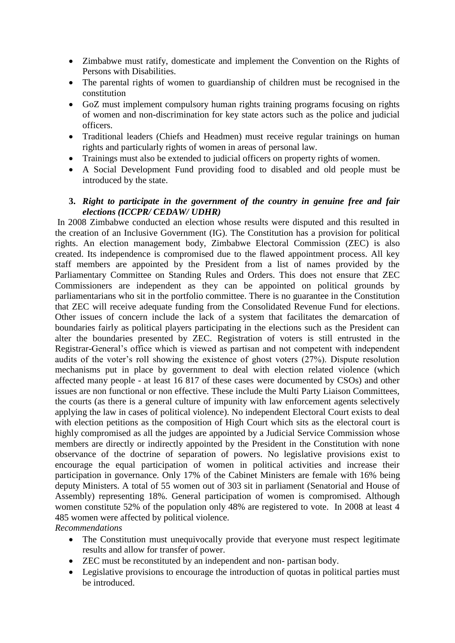- Zimbabwe must ratify, domesticate and implement the Convention on the Rights of Persons with Disabilities.
- The parental rights of women to guardianship of children must be recognised in the constitution
- GoZ must implement compulsory human rights training programs focusing on rights of women and non-discrimination for key state actors such as the police and judicial officers.
- Traditional leaders (Chiefs and Headmen) must receive regular trainings on human rights and particularly rights of women in areas of personal law.
- Trainings must also be extended to judicial officers on property rights of women.
- A Social Development Fund providing food to disabled and old people must be introduced by the state.

### **3.** *Right to participate in the government of the country in genuine free and fair elections (ICCPR/ CEDAW/ UDHR)*

In 2008 Zimbabwe conducted an election whose results were disputed and this resulted in the creation of an Inclusive Government (IG). The Constitution has a provision for political rights. An election management body, Zimbabwe Electoral Commission (ZEC) is also created. Its independence is compromised due to the flawed appointment process. All key staff members are appointed by the President from a list of names provided by the Parliamentary Committee on Standing Rules and Orders. This does not ensure that ZEC Commissioners are independent as they can be appointed on political grounds by parliamentarians who sit in the portfolio committee. There is no guarantee in the Constitution that ZEC will receive adequate funding from the Consolidated Revenue Fund for elections. Other issues of concern include the lack of a system that facilitates the demarcation of boundaries fairly as political players participating in the elections such as the President can alter the boundaries presented by ZEC. Registration of voters is still entrusted in the Registrar-General"s office which is viewed as partisan and not competent with independent audits of the voter"s roll showing the existence of ghost voters (27%). Dispute resolution mechanisms put in place by government to deal with election related violence (which affected many people - at least 16 817 of these cases were documented by CSOs) and other issues are non functional or non effective. These include the Multi Party Liaison Committees, the courts (as there is a general culture of impunity with law enforcement agents selectively applying the law in cases of political violence). No independent Electoral Court exists to deal with election petitions as the composition of High Court which sits as the electoral court is highly compromised as all the judges are appointed by a Judicial Service Commission whose members are directly or indirectly appointed by the President in the Constitution with none observance of the doctrine of separation of powers. No legislative provisions exist to encourage the equal participation of women in political activities and increase their participation in governance. Only 17% of the Cabinet Ministers are female with 16% being deputy Ministers. A total of 55 women out of 303 sit in parliament (Senatorial and House of Assembly) representing 18%. General participation of women is compromised. Although women constitute 52% of the population only 48% are registered to vote. In 2008 at least 4 485 women were affected by political violence.

*Recommendations* 

- The Constitution must unequivocally provide that everyone must respect legitimate results and allow for transfer of power.
- ZEC must be reconstituted by an independent and non- partisan body.
- Legislative provisions to encourage the introduction of quotas in political parties must be introduced.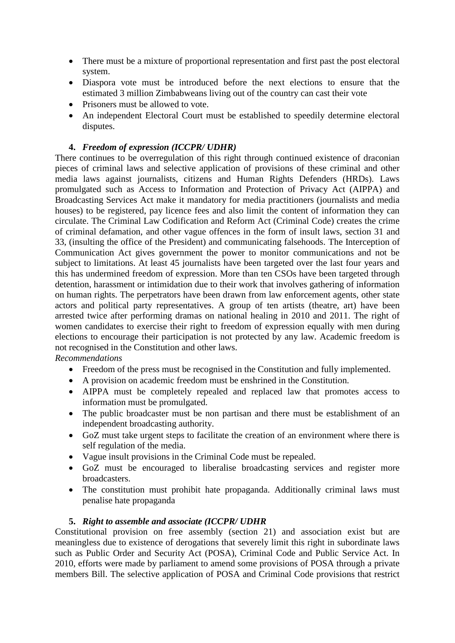- There must be a mixture of proportional representation and first past the post electoral system.
- Diaspora vote must be introduced before the next elections to ensure that the estimated 3 million Zimbabweans living out of the country can cast their vote
- Prisoners must be allowed to vote.
- An independent Electoral Court must be established to speedily determine electoral disputes.

## **4.** *Freedom of expression (ICCPR/ UDHR)*

There continues to be overregulation of this right through continued existence of draconian pieces of criminal laws and selective application of provisions of these criminal and other media laws against journalists, citizens and Human Rights Defenders (HRDs). Laws promulgated such as Access to Information and Protection of Privacy Act (AIPPA) and Broadcasting Services Act make it mandatory for media practitioners (journalists and media houses) to be registered, pay licence fees and also limit the content of information they can circulate. The Criminal Law Codification and Reform Act (Criminal Code) creates the crime of criminal defamation, and other vague offences in the form of insult laws, section 31 and 33, (insulting the office of the President) and communicating falsehoods. The Interception of Communication Act gives government the power to monitor communications and not be subject to limitations. At least 45 journalists have been targeted over the last four years and this has undermined freedom of expression. More than ten CSOs have been targeted through detention, harassment or intimidation due to their work that involves gathering of information on human rights. The perpetrators have been drawn from law enforcement agents, other state actors and political party representatives. A group of ten artists (theatre, art) have been arrested twice after performing dramas on national healing in 2010 and 2011. The right of women candidates to exercise their right to freedom of expression equally with men during elections to encourage their participation is not protected by any law. Academic freedom is not recognised in the Constitution and other laws. *Recommendations* 

- Freedom of the press must be recognised in the Constitution and fully implemented.
- A provision on academic freedom must be enshrined in the Constitution.
- AIPPA must be completely repealed and replaced law that promotes access to information must be promulgated.
- The public broadcaster must be non partisan and there must be establishment of an independent broadcasting authority.
- GoZ must take urgent steps to facilitate the creation of an environment where there is self regulation of the media.
- Vague insult provisions in the Criminal Code must be repealed.
- GoZ must be encouraged to liberalise broadcasting services and register more broadcasters.
- The constitution must prohibit hate propaganda. Additionally criminal laws must penalise hate propaganda

#### **5.** *Right to assemble and associate (ICCPR/ UDHR*

Constitutional provision on free assembly (section 21) and association exist but are meaningless due to existence of derogations that severely limit this right in subordinate laws such as Public Order and Security Act (POSA), Criminal Code and Public Service Act. In 2010, efforts were made by parliament to amend some provisions of POSA through a private members Bill. The selective application of POSA and Criminal Code provisions that restrict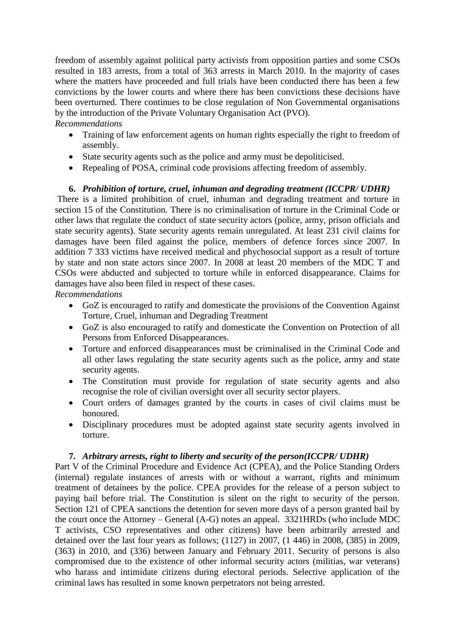freedom of assembly against political party activists from opposition parties and some CSOs resulted in 183 arrests, from a total of 363 arrests in March 2010. In the majority of cases where the matters have proceeded and full trials have been conducted there has been a few convictions by the lower courts and where there has been convictions these decisions have been overturned. There continues to be close regulation of Non Governmental organisations by the introduction of the Private Voluntary Organisation Act (PVO).

*Recommendations* 

- Training of law enforcement agents on human rights especially the right to freedom of assembly.
- State security agents such as the police and army must be depoliticised.
- Repealing of POSA, criminal code provisions affecting freedom of assembly.

### **6.** *Prohibition of torture, cruel, inhuman and degrading treatment (ICCPR/ UDHR)*

There is a limited prohibition of cruel, inhuman and degrading treatment and torture in section 15 of the Constitution. There is no criminalisation of torture in the Criminal Code or other laws that regulate the conduct of state security actors (police, army, prison officials and state security agents). State security agents remain unregulated. At least 231 civil claims for damages have been filed against the police, members of defence forces since 2007. In addition 7 333 victims have received medical and phychosocial support as a result of torture by state and non state actors since 2007. In 2008 at least 20 members of the MDC T and CSOs were abducted and subjected to torture while in enforced disappearance. Claims for damages have also been filed in respect of these cases.

*Recommendations* 

- GoZ is encouraged to ratify and domesticate the provisions of the Convention Against Torture, Cruel, inhuman and Degrading Treatment
- GoZ is also encouraged to ratify and domesticate the Convention on Protection of all Persons from Enforced Disappearances.
- Torture and enforced disappearances must be criminalised in the Criminal Code and all other laws regulating the state security agents such as the police, army and state security agents.
- The Constitution must provide for regulation of state security agents and also recognise the role of civilian oversight over all security sector players.
- Court orders of damages granted by the courts in cases of civil claims must be honoured.
- Disciplinary procedures must be adopted against state security agents involved in torture.

#### **7.** *Arbitrary arrests, right to liberty and security of the person(ICCPR/ UDHR)*

Part V of the Criminal Procedure and Evidence Act (CPEA), and the Police Standing Orders (internal) regulate instances of arrests with or without a warrant, rights and minimum treatment of detainees by the police. CPEA provides for the release of a person subject to paying bail before trial. The Constitution is silent on the right to security of the person. Section 121 of CPEA sanctions the detention for seven more days of a person granted bail by the court once the Attorney – General (A-G) notes an appeal. 3321HRDs (who include MDC T activists, CSO representatives and other citizens) have been arbitrarily arrested and detained over the last four years as follows; (1127) in 2007, (1 446) in 2008, (385) in 2009, (363) in 2010, and (336) between January and February 2011. Security of persons is also compromised due to the existence of other informal security actors (militias, war veterans) who harass and intimidate citizens during electoral periods. Selective application of the criminal laws has resulted in some known perpetrators not being arrested.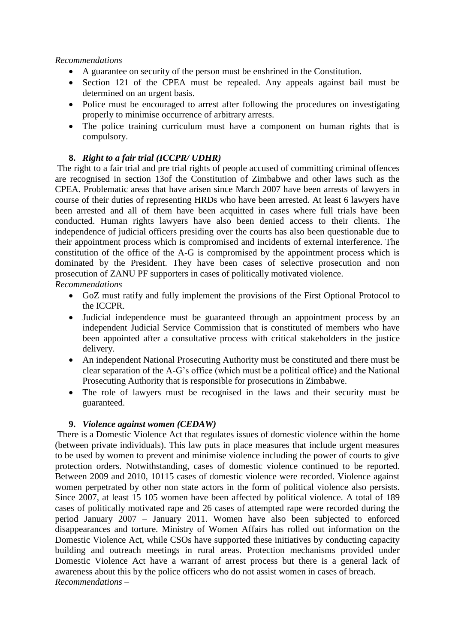### *Recommendations*

- A guarantee on security of the person must be enshrined in the Constitution.
- Section 121 of the CPEA must be repealed. Any appeals against bail must be determined on an urgent basis.
- Police must be encouraged to arrest after following the procedures on investigating properly to minimise occurrence of arbitrary arrests.
- The police training curriculum must have a component on human rights that is compulsory.

## **8.** *Right to a fair trial (ICCPR/ UDHR)*

The right to a fair trial and pre trial rights of people accused of committing criminal offences are recognised in section 13of the Constitution of Zimbabwe and other laws such as the CPEA. Problematic areas that have arisen since March 2007 have been arrests of lawyers in course of their duties of representing HRDs who have been arrested. At least 6 lawyers have been arrested and all of them have been acquitted in cases where full trials have been conducted. Human rights lawyers have also been denied access to their clients. The independence of judicial officers presiding over the courts has also been questionable due to their appointment process which is compromised and incidents of external interference. The constitution of the office of the A-G is compromised by the appointment process which is dominated by the President. They have been cases of selective prosecution and non prosecution of ZANU PF supporters in cases of politically motivated violence.

*Recommendations* 

- GoZ must ratify and fully implement the provisions of the First Optional Protocol to the ICCPR.
- Judicial independence must be guaranteed through an appointment process by an independent Judicial Service Commission that is constituted of members who have been appointed after a consultative process with critical stakeholders in the justice delivery.
- An independent National Prosecuting Authority must be constituted and there must be clear separation of the A-G"s office (which must be a political office) and the National Prosecuting Authority that is responsible for prosecutions in Zimbabwe.
- The role of lawyers must be recognised in the laws and their security must be guaranteed.

### **9.** *Violence against women (CEDAW)*

There is a Domestic Violence Act that regulates issues of domestic violence within the home (between private individuals). This law puts in place measures that include urgent measures to be used by women to prevent and minimise violence including the power of courts to give protection orders. Notwithstanding, cases of domestic violence continued to be reported. Between 2009 and 2010, 10115 cases of domestic violence were recorded. Violence against women perpetrated by other non state actors in the form of political violence also persists. Since 2007, at least 15 105 women have been affected by political violence. A total of 189 cases of politically motivated rape and 26 cases of attempted rape were recorded during the period January 2007 – January 2011. Women have also been subjected to enforced disappearances and torture. Ministry of Women Affairs has rolled out information on the Domestic Violence Act, while CSOs have supported these initiatives by conducting capacity building and outreach meetings in rural areas. Protection mechanisms provided under Domestic Violence Act have a warrant of arrest process but there is a general lack of awareness about this by the police officers who do not assist women in cases of breach. *Recommendations –*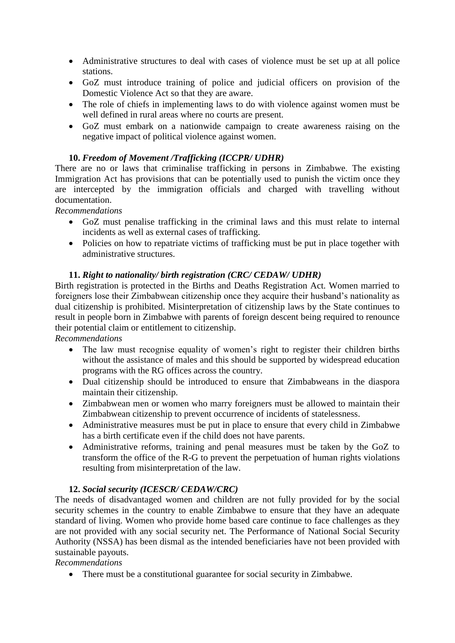- Administrative structures to deal with cases of violence must be set up at all police stations.
- GoZ must introduce training of police and judicial officers on provision of the Domestic Violence Act so that they are aware.
- The role of chiefs in implementing laws to do with violence against women must be well defined in rural areas where no courts are present.
- GoZ must embark on a nationwide campaign to create awareness raising on the negative impact of political violence against women.

### **10.** *Freedom of Movement /Trafficking (ICCPR/ UDHR)*

There are no or laws that criminalise trafficking in persons in Zimbabwe. The existing Immigration Act has provisions that can be potentially used to punish the victim once they are intercepted by the immigration officials and charged with travelling without documentation.

### *Recommendations*

- GoZ must penalise trafficking in the criminal laws and this must relate to internal incidents as well as external cases of trafficking.
- Policies on how to repatriate victims of trafficking must be put in place together with administrative structures.

### **11.** *Right to nationality/ birth registration (CRC/ CEDAW/ UDHR)*

Birth registration is protected in the Births and Deaths Registration Act. Women married to foreigners lose their Zimbabwean citizenship once they acquire their husband"s nationality as dual citizenship is prohibited. Misinterpretation of citizenship laws by the State continues to result in people born in Zimbabwe with parents of foreign descent being required to renounce their potential claim or entitlement to citizenship.

*Recommendations* 

- The law must recognise equality of women's right to register their children births without the assistance of males and this should be supported by widespread education programs with the RG offices across the country.
- Dual citizenship should be introduced to ensure that Zimbabweans in the diaspora maintain their citizenship.
- Zimbabwean men or women who marry foreigners must be allowed to maintain their Zimbabwean citizenship to prevent occurrence of incidents of statelessness.
- Administrative measures must be put in place to ensure that every child in Zimbabwe has a birth certificate even if the child does not have parents.
- Administrative reforms, training and penal measures must be taken by the GoZ to transform the office of the R-G to prevent the perpetuation of human rights violations resulting from misinterpretation of the law.

### **12.** *Social security (ICESCR/ CEDAW/CRC)*

The needs of disadvantaged women and children are not fully provided for by the social security schemes in the country to enable Zimbabwe to ensure that they have an adequate standard of living. Women who provide home based care continue to face challenges as they are not provided with any social security net. The Performance of National Social Security Authority (NSSA) has been dismal as the intended beneficiaries have not been provided with sustainable payouts.

*Recommendations* 

• There must be a constitutional guarantee for social security in Zimbabwe.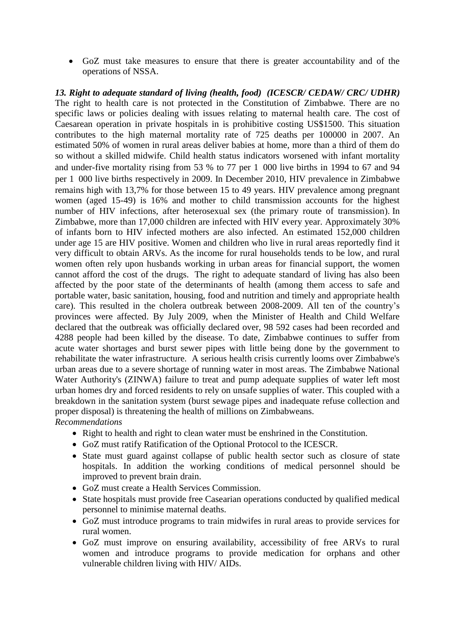GoZ must take measures to ensure that there is greater accountability and of the operations of NSSA.

*13. Right to adequate standard of living (health, food) (ICESCR/ CEDAW/ CRC/ UDHR)* The right to health care is not protected in the Constitution of Zimbabwe. There are no specific laws or policies dealing with issues relating to maternal health care. The cost of Caesarean operation in private hospitals in is prohibitive costing US\$1500. This situation contributes to the high maternal mortality rate of 725 deaths per 100000 in 2007. An estimated 50% of women in rural areas deliver babies at home, more than a third of them do so without a skilled midwife. Child health status indicators worsened with infant mortality and under-five mortality rising from 53 % to 77 per 1 000 live births in 1994 to 67 and 94 per 1 000 live births respectively in 2009. In December 2010, HIV prevalence in Zimbabwe remains high with 13,7% for those between 15 to 49 years. HIV prevalence among pregnant women (aged 15-49) is 16% and mother to child transmission accounts for the highest number of HIV infections, after heterosexual sex (the primary route of transmission). In Zimbabwe, more than 17,000 children are infected with HIV every year. Approximately 30% of infants born to HIV infected mothers are also infected. An estimated 152,000 children under age 15 are HIV positive. Women and children who live in rural areas reportedly find it very difficult to obtain ARVs. As the income for rural households tends to be low, and rural women often rely upon husbands working in urban areas for financial support, the women cannot afford the cost of the drugs. The right to adequate standard of living has also been affected by the poor state of the determinants of health (among them access to safe and portable water, basic sanitation, housing, food and nutrition and timely and appropriate health care). This resulted in the cholera outbreak between 2008-2009. All ten of the country"s provinces were affected. By July 2009, when the Minister of Health and Child Welfare declared that the outbreak was officially declared over, 98 592 cases had been recorded and 4288 people had been killed by the disease. To date, Zimbabwe continues to suffer from acute water shortages and burst sewer pipes with little being done by the government to rehabilitate the water infrastructure. A serious health crisis currently looms over Zimbabwe's urban areas due to a severe shortage of running water in most areas. The Zimbabwe National Water Authority's (ZINWA) failure to treat and pump adequate supplies of water left most urban homes dry and forced residents to rely on unsafe supplies of water. This coupled with a breakdown in the sanitation system (burst sewage pipes and inadequate refuse collection and proper disposal) is threatening the health of millions on Zimbabweans. *Recommendations* 

- Right to health and right to clean water must be enshrined in the Constitution.
- GoZ must ratify Ratification of the Optional Protocol to the ICESCR.
- State must guard against collapse of public health sector such as closure of state hospitals. In addition the working conditions of medical personnel should be improved to prevent brain drain.
- GoZ must create a Health Services Commission.
- State hospitals must provide free Casearian operations conducted by qualified medical personnel to minimise maternal deaths.
- GoZ must introduce programs to train midwifes in rural areas to provide services for rural women.
- GoZ must improve on ensuring availability, accessibility of free ARVs to rural women and introduce programs to provide medication for orphans and other vulnerable children living with HIV/ AIDs.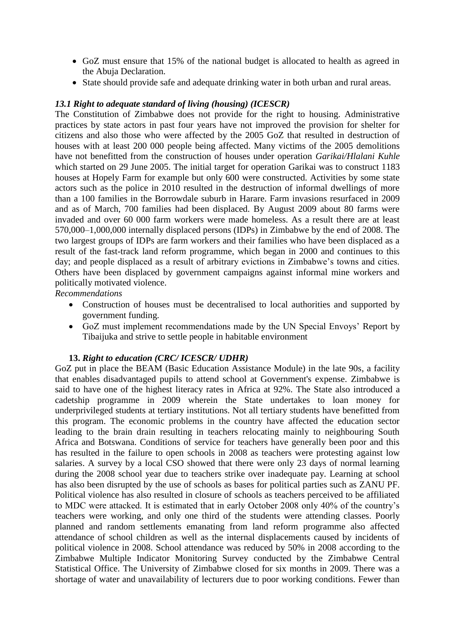- GoZ must ensure that 15% of the national budget is allocated to health as agreed in the Abuja Declaration.
- State should provide safe and adequate drinking water in both urban and rural areas.

### *13.1 Right to adequate standard of living (housing) (ICESCR)*

The Constitution of Zimbabwe does not provide for the right to housing. Administrative practices by state actors in past four years have not improved the provision for shelter for citizens and also those who were affected by the 2005 GoZ that resulted in destruction of houses with at least 200 000 people being affected. Many victims of the 2005 demolitions have not benefitted from the construction of houses under operation *Garikai/Hlalani Kuhle* which started on 29 June 2005. The initial target for operation Garikai was to construct 1183 houses at Hopely Farm for example but only 600 were constructed. Activities by some state actors such as the police in 2010 resulted in the destruction of informal dwellings of more than a 100 families in the Borrowdale suburb in Harare. Farm invasions resurfaced in 2009 and as of March, 700 families had been displaced. By August 2009 about 80 farms were invaded and over 60 000 farm workers were made homeless. As a result there are at least 570,000–1,000,000 internally displaced persons (IDPs) in Zimbabwe by the end of 2008. The two largest groups of IDPs are farm workers and their families who have been displaced as a result of the fast-track land reform programme, which began in 2000 and continues to this day; and people displaced as a result of arbitrary evictions in Zimbabwe's towns and cities. Others have been displaced by government campaigns against informal mine workers and politically motivated violence.

*Recommendations* 

- Construction of houses must be decentralised to local authorities and supported by government funding.
- GoZ must implement recommendations made by the UN Special Envoys" Report by Tibaijuka and strive to settle people in habitable environment

#### **13.** *Right to education (CRC/ ICESCR/ UDHR)*

GoZ put in place the BEAM (Basic Education Assistance Module) in the late 90s, a facility that enables disadvantaged pupils to attend school at Government's expense. Zimbabwe is said to have one of the highest literacy rates in Africa at 92%. The State also introduced a cadetship programme in 2009 wherein the State undertakes to loan money for underprivileged students at tertiary institutions. Not all tertiary students have benefitted from this program. The economic problems in the country have affected the education sector leading to the brain drain resulting in teachers relocating mainly to neighbouring South Africa and Botswana. Conditions of service for teachers have generally been poor and this has resulted in the failure to open schools in 2008 as teachers were protesting against low salaries. A survey by a local CSO showed that there were only 23 days of normal learning during the 2008 school year due to teachers strike over inadequate pay. Learning at school has also been disrupted by the use of schools as bases for political parties such as ZANU PF. Political violence has also resulted in closure of schools as teachers perceived to be affiliated to MDC were attacked. It is estimated that in early October 2008 only 40% of the country"s teachers were working, and only one third of the students were attending classes. Poorly planned and random settlements emanating from land reform programme also affected attendance of school children as well as the internal displacements caused by incidents of political violence in 2008. School attendance was reduced by 50% in 2008 according to the Zimbabwe Multiple Indicator Monitoring Survey conducted by the Zimbabwe Central Statistical Office. The University of Zimbabwe closed for six months in 2009. There was a shortage of water and unavailability of lecturers due to poor working conditions. Fewer than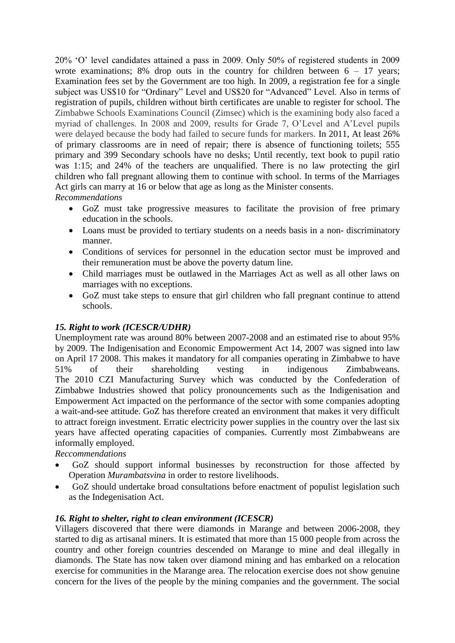20% "O" level candidates attained a pass in 2009. Only 50% of registered students in 2009 wrote examinations; 8% drop outs in the country for children between  $6 - 17$  years: Examination fees set by the Government are too high. In 2009, a registration fee for a single subject was US\$10 for "Ordinary" Level and US\$20 for "Advanced" Level. Also in terms of registration of pupils, children without birth certificates are unable to register for school. The Zimbabwe Schools Examinations Council (Zimsec) which is the examining body also faced a myriad of challenges. In 2008 and 2009, results for Grade 7, O"Level and A"Level pupils were delayed because the body had failed to secure funds for markers. In 2011, At least 26% of primary classrooms are in need of repair; there is absence of functioning toilets; 555 primary and 399 Secondary schools have no desks; Until recently, text book to pupil ratio was 1:15; and 24% of the teachers are unqualified. There is no law protecting the girl children who fall pregnant allowing them to continue with school. In terms of the Marriages Act girls can marry at 16 or below that age as long as the Minister consents.

- *Recommendations* 
	- GoZ must take progressive measures to facilitate the provision of free primary education in the schools.
	- Loans must be provided to tertiary students on a needs basis in a non-discriminatory manner.
	- Conditions of services for personnel in the education sector must be improved and their remuneration must be above the poverty datum line.
	- Child marriages must be outlawed in the Marriages Act as well as all other laws on marriages with no exceptions.
	- GoZ must take steps to ensure that girl children who fall pregnant continue to attend schools.

# *15. Right to work (ICESCR/UDHR)*

Unemployment rate was around 80% between 2007-2008 and an estimated rise to about 95% by 2009. The Indigenisation and Economic Empowerment Act 14, 2007 was signed into law on April 17 2008. This makes it mandatory for all companies operating in Zimbabwe to have 51% of their shareholding vesting in indigenous Zimbabweans. The 2010 CZI Manufacturing Survey which was conducted by the Confederation of Zimbabwe Industries showed that policy pronouncements such as the Indigenisation and Empowerment Act impacted on the performance of the sector with some companies adopting a wait-and-see attitude. GoZ has therefore created an environment that makes it very difficult to attract foreign investment. Erratic electricity power supplies in the country over the last six years have affected operating capacities of companies. Currently most Zimbabweans are informally employed.

*Reccommendations*

- GoZ should support informal businesses by reconstruction for those affected by Operation *Murambatsvina* in order to restore livelihoods.
- GoZ should undertake broad consultations before enactment of populist legislation such as the Indegenisation Act.

### *16. Right to shelter, right to clean environment (ICESCR)*

Villagers discovered that there were diamonds in Marange and between 2006-2008, they started to dig as artisanal miners. It is estimated that more than 15 000 people from across the country and other foreign countries descended on Marange to mine and deal illegally in diamonds. The State has now taken over diamond mining and has embarked on a relocation exercise for communities in the Marange area. The relocation exercise does not show genuine concern for the lives of the people by the mining companies and the government. The social